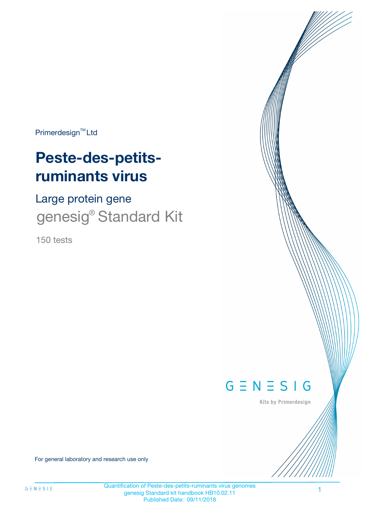Primerdesign<sup>™</sup>Ltd

# **Peste-des-petitsruminants virus**

Large protein gene genesig® Standard Kit

150 tests



Kits by Primerdesign

For general laboratory and research use only

Quantification of Peste-des-petits-ruminants virus genomes genesig Standard kit handbook HB10.02.11 Published Date: 09/11/2018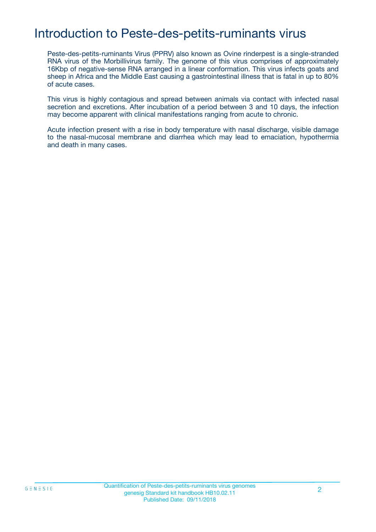# Introduction to Peste-des-petits-ruminants virus

Peste-des-petits-ruminants Virus (PPRV) also known as Ovine rinderpest is a single-stranded RNA virus of the Morbillivirus family. The genome of this virus comprises of approximately 16Kbp of negative-sense RNA arranged in a linear conformation. This virus infects goats and sheep in Africa and the Middle East causing a gastrointestinal illness that is fatal in up to 80% of acute cases.

This virus is highly contagious and spread between animals via contact with infected nasal secretion and excretions. After incubation of a period between 3 and 10 days, the infection may become apparent with clinical manifestations ranging from acute to chronic.

Acute infection present with a rise in body temperature with nasal discharge, visible damage to the nasal-mucosal membrane and diarrhea which may lead to emaciation, hypothermia and death in many cases.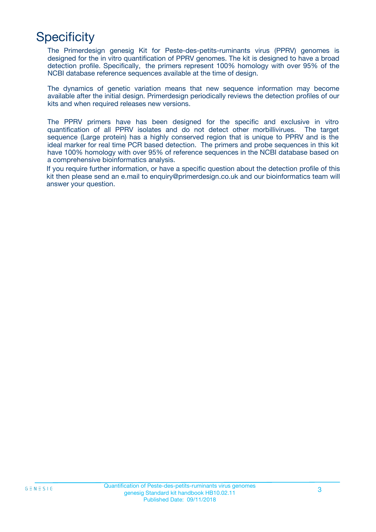# **Specificity**

The Primerdesign genesig Kit for Peste-des-petits-ruminants virus (PPRV) genomes is designed for the in vitro quantification of PPRV genomes. The kit is designed to have a broad detection profile. Specifically, the primers represent 100% homology with over 95% of the NCBI database reference sequences available at the time of design.

The dynamics of genetic variation means that new sequence information may become available after the initial design. Primerdesign periodically reviews the detection profiles of our kits and when required releases new versions.

The PPRV primers have has been designed for the specific and exclusive in vitro quantification of all PPRV isolates and do not detect other morbillivirues. The target sequence (Large protein) has a highly conserved region that is unique to PPRV and is the ideal marker for real time PCR based detection. The primers and probe sequences in this kit have 100% homology with over 95% of reference sequences in the NCBI database based on a comprehensive bioinformatics analysis.

If you require further information, or have a specific question about the detection profile of this kit then please send an e.mail to enquiry@primerdesign.co.uk and our bioinformatics team will answer your question.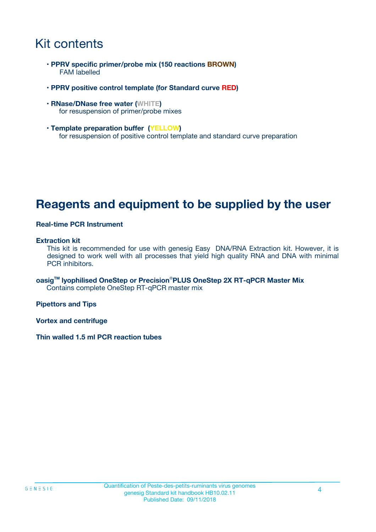# Kit contents

- **PPRV specific primer/probe mix (150 reactions BROWN)** FAM labelled
- **PPRV positive control template (for Standard curve RED)**
- **RNase/DNase free water (WHITE)** for resuspension of primer/probe mixes
- **Template preparation buffer (YELLOW)** for resuspension of positive control template and standard curve preparation

## **Reagents and equipment to be supplied by the user**

#### **Real-time PCR Instrument**

#### **Extraction kit**

This kit is recommended for use with genesig Easy DNA/RNA Extraction kit. However, it is designed to work well with all processes that yield high quality RNA and DNA with minimal PCR inhibitors.

**oasigTM lyophilised OneStep or Precision**®**PLUS OneStep 2X RT-qPCR Master Mix** Contains complete OneStep RT-qPCR master mix

**Pipettors and Tips**

**Vortex and centrifuge**

**Thin walled 1.5 ml PCR reaction tubes**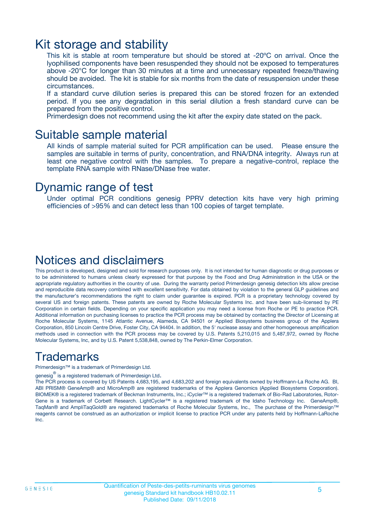### Kit storage and stability

This kit is stable at room temperature but should be stored at -20ºC on arrival. Once the lyophilised components have been resuspended they should not be exposed to temperatures above -20°C for longer than 30 minutes at a time and unnecessary repeated freeze/thawing should be avoided. The kit is stable for six months from the date of resuspension under these circumstances.

If a standard curve dilution series is prepared this can be stored frozen for an extended period. If you see any degradation in this serial dilution a fresh standard curve can be prepared from the positive control.

Primerdesign does not recommend using the kit after the expiry date stated on the pack.

### Suitable sample material

All kinds of sample material suited for PCR amplification can be used. Please ensure the samples are suitable in terms of purity, concentration, and RNA/DNA integrity. Always run at least one negative control with the samples. To prepare a negative-control, replace the template RNA sample with RNase/DNase free water.

### Dynamic range of test

Under optimal PCR conditions genesig PPRV detection kits have very high priming efficiencies of >95% and can detect less than 100 copies of target template.

### Notices and disclaimers

This product is developed, designed and sold for research purposes only. It is not intended for human diagnostic or drug purposes or to be administered to humans unless clearly expressed for that purpose by the Food and Drug Administration in the USA or the appropriate regulatory authorities in the country of use. During the warranty period Primerdesign genesig detection kits allow precise and reproducible data recovery combined with excellent sensitivity. For data obtained by violation to the general GLP guidelines and the manufacturer's recommendations the right to claim under guarantee is expired. PCR is a proprietary technology covered by several US and foreign patents. These patents are owned by Roche Molecular Systems Inc. and have been sub-licensed by PE Corporation in certain fields. Depending on your specific application you may need a license from Roche or PE to practice PCR. Additional information on purchasing licenses to practice the PCR process may be obtained by contacting the Director of Licensing at Roche Molecular Systems, 1145 Atlantic Avenue, Alameda, CA 94501 or Applied Biosystems business group of the Applera Corporation, 850 Lincoln Centre Drive, Foster City, CA 94404. In addition, the 5' nuclease assay and other homogeneous amplification methods used in connection with the PCR process may be covered by U.S. Patents 5,210,015 and 5,487,972, owned by Roche Molecular Systems, Inc, and by U.S. Patent 5,538,848, owned by The Perkin-Elmer Corporation.

### Trademarks

Primerdesign™ is a trademark of Primerdesign Ltd.

genesig $^\circledR$  is a registered trademark of Primerdesign Ltd.

The PCR process is covered by US Patents 4,683,195, and 4,683,202 and foreign equivalents owned by Hoffmann-La Roche AG. BI, ABI PRISM® GeneAmp® and MicroAmp® are registered trademarks of the Applera Genomics (Applied Biosystems Corporation). BIOMEK® is a registered trademark of Beckman Instruments, Inc.; iCycler™ is a registered trademark of Bio-Rad Laboratories, Rotor-Gene is a trademark of Corbett Research. LightCycler™ is a registered trademark of the Idaho Technology Inc. GeneAmp®, TaqMan® and AmpliTaqGold® are registered trademarks of Roche Molecular Systems, Inc., The purchase of the Primerdesign™ reagents cannot be construed as an authorization or implicit license to practice PCR under any patents held by Hoffmann-LaRoche Inc.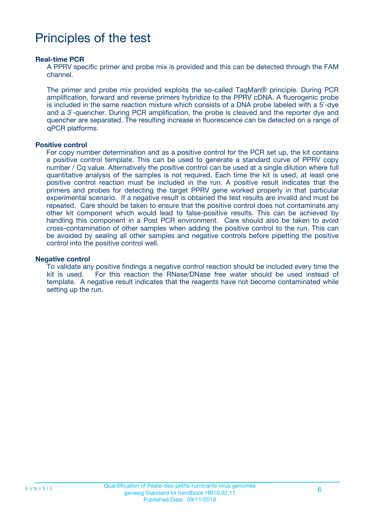# Principles of the test

#### **Real-time PCR**

A PPRV specific primer and probe mix is provided and this can be detected through the FAM channel.

The primer and probe mix provided exploits the so-called TaqMan® principle. During PCR amplification, forward and reverse primers hybridize to the PPRV cDNA. A fluorogenic probe is included in the same reaction mixture which consists of a DNA probe labeled with a 5`-dye and a 3`-quencher. During PCR amplification, the probe is cleaved and the reporter dye and quencher are separated. The resulting increase in fluorescence can be detected on a range of qPCR platforms.

#### **Positive control**

For copy number determination and as a positive control for the PCR set up, the kit contains a positive control template. This can be used to generate a standard curve of PPRV copy number / Cq value. Alternatively the positive control can be used at a single dilution where full quantitative analysis of the samples is not required. Each time the kit is used, at least one positive control reaction must be included in the run. A positive result indicates that the primers and probes for detecting the target PPRV gene worked properly in that particular experimental scenario. If a negative result is obtained the test results are invalid and must be repeated. Care should be taken to ensure that the positive control does not contaminate any other kit component which would lead to false-positive results. This can be achieved by handling this component in a Post PCR environment. Care should also be taken to avoid cross-contamination of other samples when adding the positive control to the run. This can be avoided by sealing all other samples and negative controls before pipetting the positive control into the positive control well.

#### **Negative control**

To validate any positive findings a negative control reaction should be included every time the kit is used. For this reaction the RNase/DNase free water should be used instead of template. A negative result indicates that the reagents have not become contaminated while setting up the run.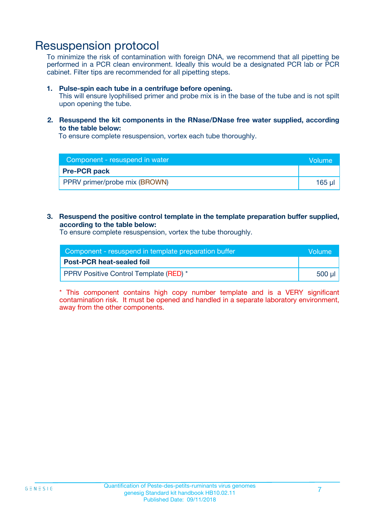### Resuspension protocol

To minimize the risk of contamination with foreign DNA, we recommend that all pipetting be performed in a PCR clean environment. Ideally this would be a designated PCR lab or PCR cabinet. Filter tips are recommended for all pipetting steps.

#### **1. Pulse-spin each tube in a centrifuge before opening.**

This will ensure lyophilised primer and probe mix is in the base of the tube and is not spilt upon opening the tube.

#### **2. Resuspend the kit components in the RNase/DNase free water supplied, according to the table below:**

To ensure complete resuspension, vortex each tube thoroughly.

| Component - resuspend in water | <b>Nolume</b> |
|--------------------------------|---------------|
| <b>Pre-PCR pack</b>            |               |
| PPRV primer/probe mix (BROWN)  | $165$ $\mu$   |

#### **3. Resuspend the positive control template in the template preparation buffer supplied, according to the table below:**

To ensure complete resuspension, vortex the tube thoroughly.

| Component - resuspend in template preparation buffer |         |  |
|------------------------------------------------------|---------|--|
| <b>Post-PCR heat-sealed foil</b>                     |         |  |
| <b>PPRV Positive Control Template (RED)</b> *        | .500 ul |  |

\* This component contains high copy number template and is a VERY significant contamination risk. It must be opened and handled in a separate laboratory environment, away from the other components.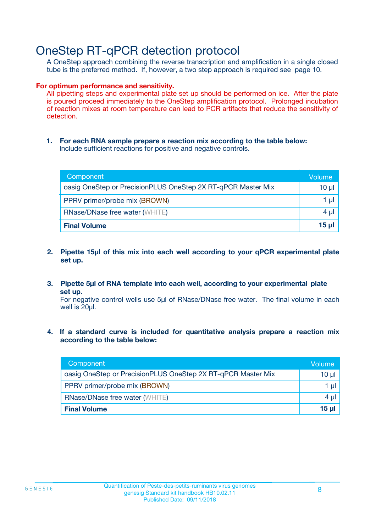## OneStep RT-qPCR detection protocol

A OneStep approach combining the reverse transcription and amplification in a single closed tube is the preferred method. If, however, a two step approach is required see page 10.

#### **For optimum performance and sensitivity.**

All pipetting steps and experimental plate set up should be performed on ice. After the plate is poured proceed immediately to the OneStep amplification protocol. Prolonged incubation of reaction mixes at room temperature can lead to PCR artifacts that reduce the sensitivity of detection.

**1. For each RNA sample prepare a reaction mix according to the table below:** Include sufficient reactions for positive and negative controls.

| Component                                                    | Volume   |
|--------------------------------------------------------------|----------|
| oasig OneStep or PrecisionPLUS OneStep 2X RT-qPCR Master Mix | 10 µl    |
| PPRV primer/probe mix (BROWN)                                | 1 µl     |
| <b>RNase/DNase free water (WHITE)</b>                        | $4 \mu$  |
| <b>Final Volume</b>                                          | $15 \mu$ |

- **2. Pipette 15µl of this mix into each well according to your qPCR experimental plate set up.**
- **3. Pipette 5µl of RNA template into each well, according to your experimental plate set up.**

For negative control wells use 5µl of RNase/DNase free water. The final volume in each well is 20ul.

**4. If a standard curve is included for quantitative analysis prepare a reaction mix according to the table below:**

| Component                                                    | Volume |
|--------------------------------------------------------------|--------|
| oasig OneStep or PrecisionPLUS OneStep 2X RT-qPCR Master Mix | 10 µl  |
| PPRV primer/probe mix (BROWN)                                | 1 µI   |
| <b>RNase/DNase free water (WHITE)</b>                        | 4 µl   |
| <b>Final Volume</b>                                          | 15 ul  |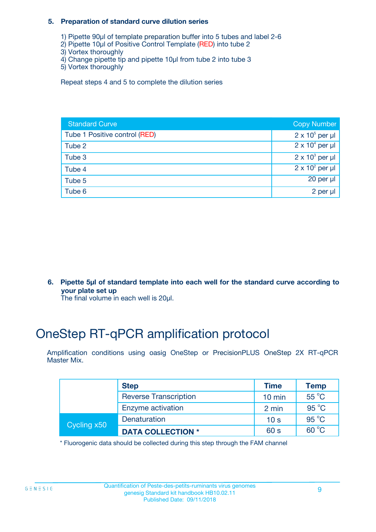#### **5. Preparation of standard curve dilution series**

- 1) Pipette 90µl of template preparation buffer into 5 tubes and label 2-6
- 2) Pipette 10µl of Positive Control Template (RED) into tube 2
- 3) Vortex thoroughly
- 4) Change pipette tip and pipette 10µl from tube 2 into tube 3
- 5) Vortex thoroughly

Repeat steps 4 and 5 to complete the dilution series

| <b>Standard Curve</b>         | <b>Copy Number</b>     |
|-------------------------------|------------------------|
| Tube 1 Positive control (RED) | $2 \times 10^5$ per µl |
| Tube 2                        | $2 \times 10^4$ per µl |
| Tube 3                        | $2 \times 10^3$ per µl |
| Tube 4                        | $2 \times 10^2$ per µl |
| Tube 5                        | 20 per $\mu$           |
| Tube 6                        | 2 per µl               |

**6. Pipette 5µl of standard template into each well for the standard curve according to your plate set up**

The final volume in each well is 20ul.

# OneStep RT-qPCR amplification protocol

Amplification conditions using oasig OneStep or PrecisionPLUS OneStep 2X RT-qPCR Master Mix.

|             | <b>Step</b>                  | <b>Time</b>      | <b>Temp</b>    |
|-------------|------------------------------|------------------|----------------|
|             | <b>Reverse Transcription</b> | $10 \text{ min}$ | 55 °C          |
|             | Enzyme activation            | 2 min            | $95^{\circ}$ C |
| Cycling x50 | Denaturation                 | 10 <sub>s</sub>  | $95^{\circ}$ C |
|             | <b>DATA COLLECTION *</b>     | 60 s             | $60^{\circ}$ C |

\* Fluorogenic data should be collected during this step through the FAM channel